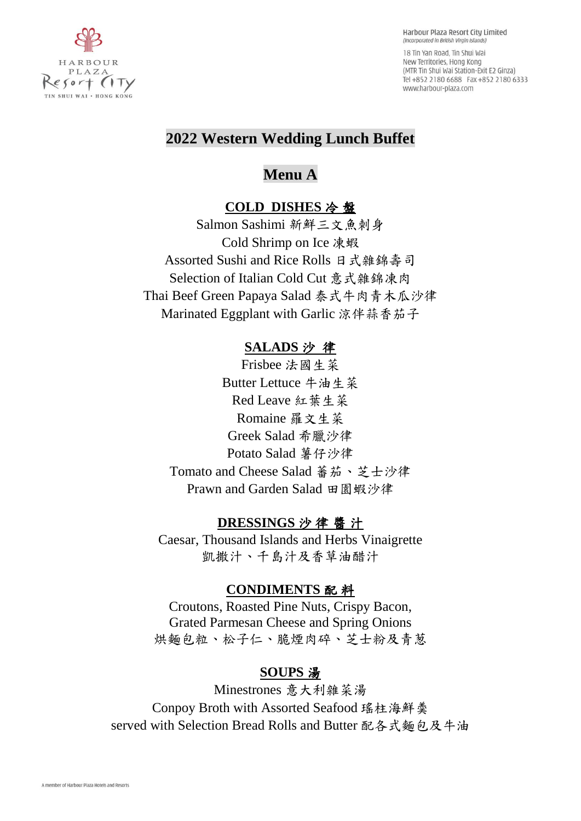

18 Tin Yan Road. Tin Shui Wai New Territories, Hong Kong (MTR Tin Shui Wai Station-Exit E2 Ginza) Tel +852 2180 6688 Fax +852 2180 6333 www.harbour-plaza.com

## **2022 Western Wedding Lunch Buffet**

# **Menu A**

## **COLD DISHES** 冷 盤

Salmon Sashimi 新鮮三文魚刺身 Cold Shrimp on Ice 凍蝦 Assorted Sushi and Rice Rolls 日式雜錦壽司 Selection of Italian Cold Cut 意式雜錦凍肉 Thai Beef Green Papaya Salad 泰式牛肉青木瓜沙律 Marinated Eggplant with Garlic 涼伴蒜香茄子

## **SALADS** 沙 律

Frisbee 法國生菜 Butter Lettuce 牛油生菜 Red Leave 紅葉生菜 Romaine 羅文生菜 Greek Salad 希臘沙律 Potato Salad 薯仔沙律 Tomato and Cheese Salad 蕃茄、芝士沙律 Prawn and Garden Salad 田園蝦沙律

## **DRESSINGS** 沙 律 醬 汁

Caesar, Thousand Islands and Herbs Vinaigrette 凱撒汁、千島汁及香草油醋汁

### **CONDIMENTS** 配 料

Croutons, Roasted Pine Nuts, Crispy Bacon, Grated Parmesan Cheese and Spring Onions 烘麵包粒、松子仁、脆煙肉碎、芝士粉及青葱

## **SOUPS** 湯

Minestrones 意大利雜菜湯 Conpoy Broth with Assorted Seafood 瑤柱海鮮羮 served with Selection Bread Rolls and Butter 配各式麵包及牛油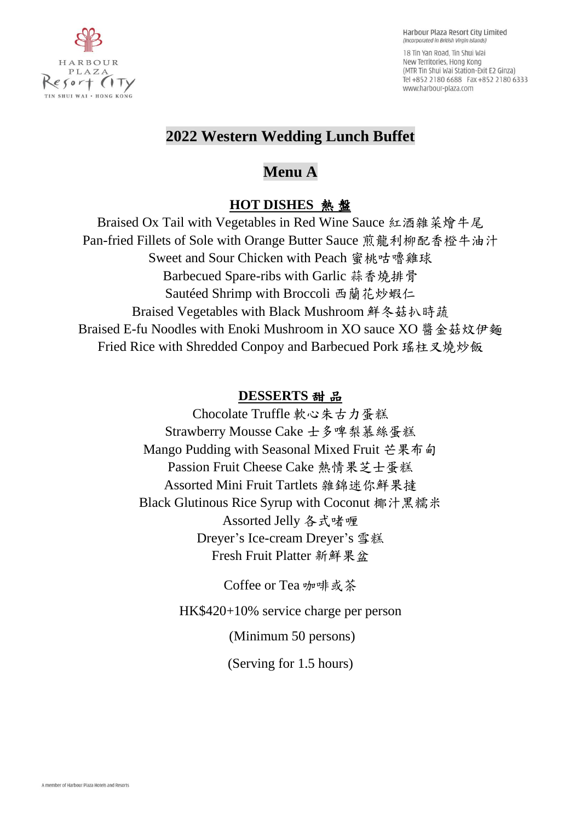

18 Tin Yan Road. Tin Shui Wai New Territories, Hong Kong (MTR Tin Shui Wai Station-Exit E2 Ginza) Tel +852 2180 6688 Fax +852 2180 6333 www.harbour-plaza.com

## **2022 Western Wedding Lunch Buffet**

**Menu A**

## **HOT DISHES** 熱 盤

Braised Ox Tail with Vegetables in Red Wine Sauce 紅酒雜菜燴牛尾 Pan-fried Fillets of Sole with Orange Butter Sauce 煎龍利柳配香橙牛油汁 Sweet and Sour Chicken with Peach 蜜桃咕嚕雞球 Barbecued Spare-ribs with Garlic 蒜香燒排骨 Sautéed Shrimp with Broccoli 西蘭花炒蝦仁 Braised Vegetables with Black Mushroom 鮮冬菇扒時蔬 Braised E-fu Noodles with Enoki Mushroom in XO sauce XO 醬金菇炆伊麵 Fried Rice with Shredded Conpoy and Barbecued Pork 瑤柱叉燒炒飯

## **DESSERTS** 甜 品

Chocolate Truffle 軟心朱古力蛋糕 Strawberry Mousse Cake 士多啤梨慕絲蛋糕 Mango Pudding with Seasonal Mixed Fruit 芒果布甸 Passion Fruit Cheese Cake 熱情果芝士蛋糕 Assorted Mini Fruit Tartlets 雜錦迷你鮮果撻 Black Glutinous Rice Syrup with Coconut 椰汁黑糯米 Assorted Jelly 各式啫喱 Dreyer's Ice-cream Dreyer's 雪糕 Fresh Fruit Platter 新鮮果盆

Coffee or Tea 咖啡或茶

HK\$420+10% service charge per person

(Minimum 50 persons)

(Serving for 1.5 hours)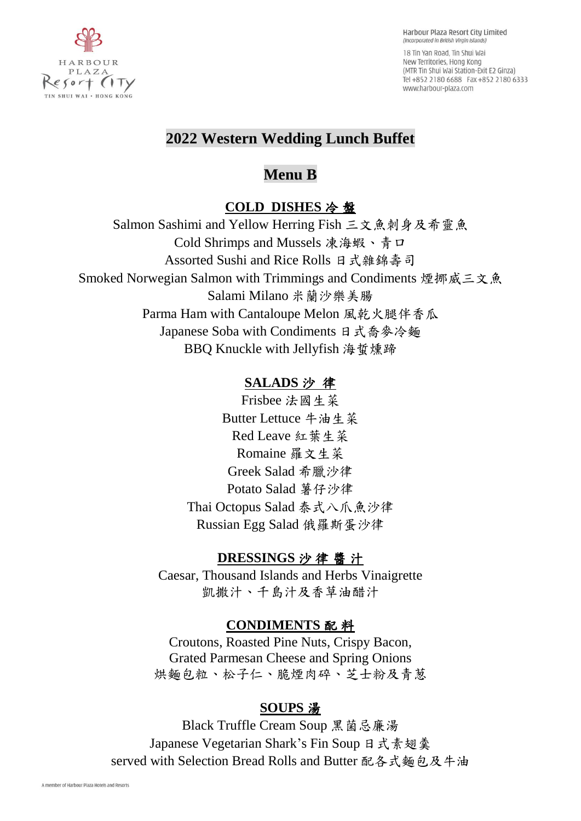

18 Tin Yan Road. Tin Shui Wai New Territories, Hong Kong (MTR Tin Shui Wai Station-Exit E2 Ginza) Tel +852 2180 6688 Fax +852 2180 6333 www.harbour-plaza.com

# **2022 Western Wedding Lunch Buffet**

# **Menu B**

## **COLD DISHES** 冷 盤

Salmon Sashimi and Yellow Herring Fish 三文魚刺身及希靈魚 Cold Shrimps and Mussels 凍海蝦、青口 Assorted Sushi and Rice Rolls 日式雜錦壽司 Smoked Norwegian Salmon with Trimmings and Condiments 煙挪威三文魚 Salami Milano 米蘭沙樂美腸 Parma Ham with Cantaloupe Melon 風乾火腿伴香瓜 Japanese Soba with Condiments 日式喬麥冷麵 BBQ Knuckle with Jellyfish 海蜇燻蹄

## **SALADS** 沙 律

Frisbee 法國生菜 Butter Lettuce 牛油生菜 Red Leave 紅葉生菜 Romaine 羅文生菜 Greek Salad 希臘沙律 Potato Salad 薯仔沙律 Thai Octopus Salad 泰式八爪魚沙律 Russian Egg Salad 俄羅斯蛋沙律

## **DRESSINGS** 沙 律 醬 汁

Caesar, Thousand Islands and Herbs Vinaigrette 凱撒汁、千島汁及香草油醋汁

## **CONDIMENTS** 配 料

Croutons, Roasted Pine Nuts, Crispy Bacon, Grated Parmesan Cheese and Spring Onions 烘麵包粒、松子仁、脆煙肉碎、芝士粉及青葱

## **SOUPS** 湯

Black Truffle Cream Soup 黑菌忌廉湯 Japanese Vegetarian Shark's Fin Soup 日式素翅羹 served with Selection Bread Rolls and Butter 配各式麵包及牛油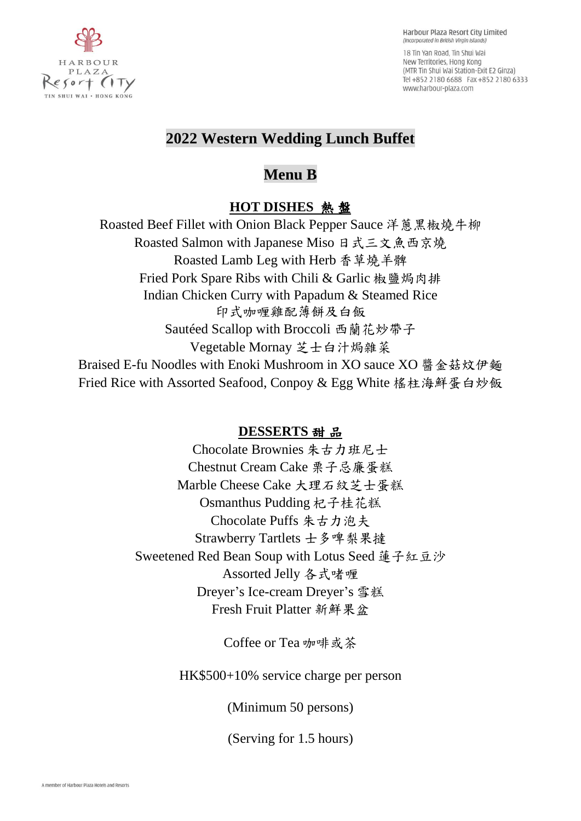

18 Tin Yan Road. Tin Shui Wai New Territories, Hong Kong (MTR Tin Shui Wai Station-Exit E2 Ginza) Tel +852 2180 6688 Fax +852 2180 6333 www.harbour-plaza.com

# **2022 Western Wedding Lunch Buffet**

# **Menu B**

## **HOT DISHES** 熱 盤

Roasted Beef Fillet with Onion Black Pepper Sauce 洋蔥黑椒燒牛柳 Roasted Salmon with Japanese Miso 日式三文魚西京燒 Roasted Lamb Leg with Herb 香草燒羊髀 Fried Pork Spare Ribs with Chili & Garlic 椒鹽焗肉排 Indian Chicken Curry with Papadum & Steamed Rice 印式咖喱雞配薄餅及白飯 Sautéed Scallop with Broccoli 西蘭花炒帶子 Vegetable Mornay 芝士白汁焗雜菜 Braised E-fu Noodles with Enoki Mushroom in XO sauce XO 醬金菇炆伊麵 Fried Rice with Assorted Seafood, Conpoy & Egg White 榣柱海鮮蛋白炒飯

## **DESSERTS** 甜 品

Chocolate Brownies 朱古力班尼士 Chestnut Cream Cake 栗子忌廉蛋糕 Marble Cheese Cake 大理石紋芝士蛋糕 Osmanthus Pudding 杞子桂花糕 Chocolate Puffs 朱古力泡夫 Strawberry Tartlets 士多啤梨果撻 Sweetened Red Bean Soup with Lotus Seed 蓮子紅豆沙 Assorted Jelly 各式啫喱 Dreyer's Ice-cream Dreyer's 雪糕 Fresh Fruit Platter 新鮮果盆

Coffee or Tea 咖啡或茶

HK\$500+10% service charge per person

(Minimum 50 persons)

(Serving for 1.5 hours)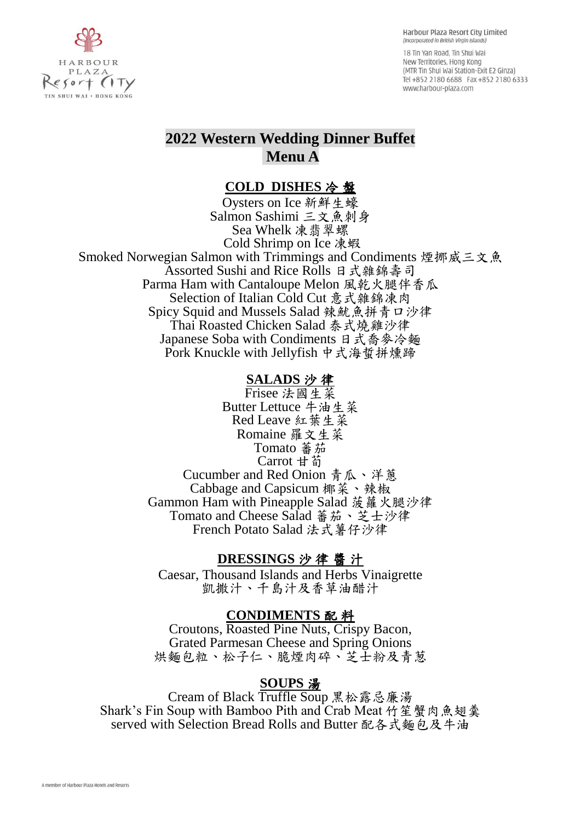18 Tin Yan Road. Tin Shui Wai New Territories, Hong Kong (MTR Tin Shui Wai Station-Exit E2 Ginza) Tel +852 2180 6688 Fax +852 2180 6333 www.harbour-plaza.com

## **2022 Western Wedding Dinner Buffet Menu A**

#### **COLD DISHES** 冷 盤

Oysters on Ice 新鮮生蠔 Salmon Sashimi 三文魚刺身 Sea Whelk 凍翡翠螺 Cold Shrimp on Ice 凍蝦 Smoked Norwegian Salmon with Trimmings and Condiments 煙挪威三文魚 Assorted Sushi and Rice Rolls 日式雜錦壽司 Parma Ham with Cantaloupe Melon 風乾火腿伴香瓜 Selection of Italian Cold Cut 意式雜錦凍肉 Spicy Squid and Mussels Salad 辣魷魚拼青口沙律 Thai Roasted Chicken Salad 泰式燒雞沙律 Japanese Soba with Condiments 日式喬麥冷麵 Pork Knuckle with Jellyfish 中式海蜇拼燻蹄

#### **SALADS** 沙 律

Frisee 法國生菜 Butter Lettuce 牛油生菜 Red Leave 紅葉生菜 Romaine 羅文生菜 Tomato 蕃茄 Carrot 甘荀 Cucumber and Red Onion 青瓜、洋蔥 Cabbage and Capsicum 椰菜、辣椒 Gammon Ham with Pineapple Salad 菠蘿火腿沙律 Tomato and Cheese Salad 蕃茄、芝士沙律 French Potato Salad 法式薯仔沙律

#### **DRESSINGS** 沙 律 醬 汁

Caesar, Thousand Islands and Herbs Vinaigrette 凱撒汁、千島汁及香草油醋汁

#### **CONDIMENTS** 配 料

Croutons, Roasted Pine Nuts, Crispy Bacon, Grated Parmesan Cheese and Spring Onions 烘麵包粒、松子仁、脆煙肉碎、芝士粉及青葱

#### **SOUPS** 湯

Cream of Black Truffle Soup 黑松露忌廉湯 Shark's Fin Soup with Bamboo Pith and Crab Meat 竹笙蟹肉魚翅羹 served with Selection Bread Rolls and Butter 配各式麵包及牛油

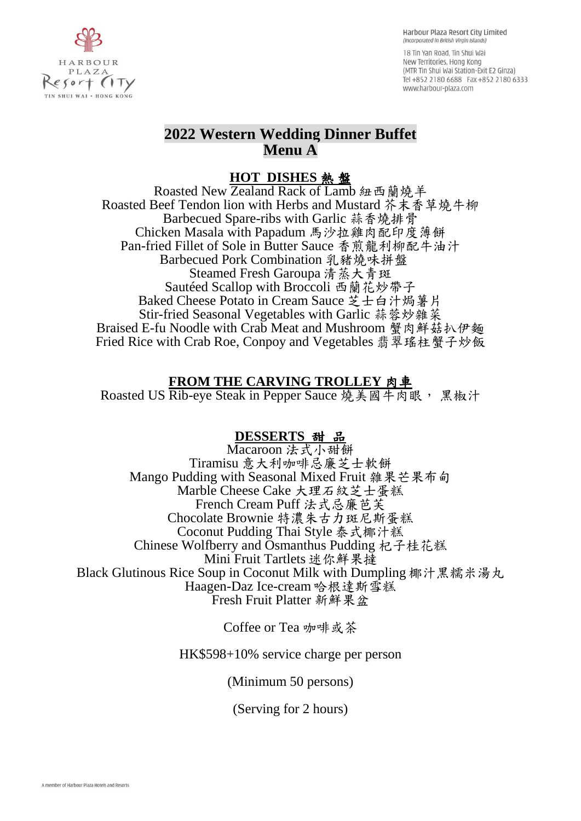

18 Tin Yan Road. Tin Shui Wai New Territories, Hong Kong (MTR Tin Shui Wai Station-Exit E2 Ginza) Tel +852 2180 6688 Fax +852 2180 6333 www.harbour-plaza.com

### **2022 Western Wedding Dinner Buffet Menu A**

### **HOT DISHES** 熱 盤

Roasted New Zealand Rack of Lamb 紐西蘭燒羊 Roasted Beef Tendon lion with Herbs and Mustard 芥末香草燒牛柳 Barbecued Spare-ribs with Garlic 蒜香燒排骨 Chicken Masala with Papadum 馬沙拉雞肉配印度薄餅 Pan-fried Fillet of Sole in Butter Sauce 香煎龍利柳配牛油汁 Barbecued Pork Combination 乳豬燒味拼盤 Steamed Fresh Garoupa 清蒸大青斑 Sautéed Scallop with Broccoli 西蘭花炒帶子 Baked Cheese Potato in Cream Sauce 芝士白汁焗薯片 Stir-fried Seasonal Vegetables with Garlic 蒜蓉炒雜菜 Braised E-fu Noodle with Crab Meat and Mushroom 蟹肉鮮菇扒伊麵 Fried Rice with Crab Roe, Conpoy and Vegetables 翡翠瑤柱蟹子炒飯

### **FROM THE CARVING TROLLEY** 肉車

Roasted US Rib-eye Steak in Pepper Sauce 燒美國牛肉眼, 黑椒汁

### **DESSERTS** 甜品

Macaroon 法式小甜餅 Tiramisu 意大利咖啡忌廉芝士軟餅 Mango Pudding with Seasonal Mixed Fruit 雜果芒果布甸 Marble Cheese Cake 大理石紋芝士蛋糕 French Cream Puff 法式忌廉芭芙 Chocolate Brownie 特濃朱古力斑尼斯蛋糕 Coconut Pudding Thai Style 泰式椰汁糕 Chinese Wolfberry and Osmanthus Pudding 杞子桂花糕 Mini Fruit Tartlets 迷你鮮果撻 Black Glutinous Rice Soup in Coconut Milk with Dumpling 椰汁黑糯米湯丸 Haagen-Daz Ice-cream 哈根達斯雪糕 Fresh Fruit Platter 新鮮果盆

Coffee or Tea 咖啡或茶

HK\$598+10% service charge per person

(Minimum 50 persons)

(Serving for 2 hours)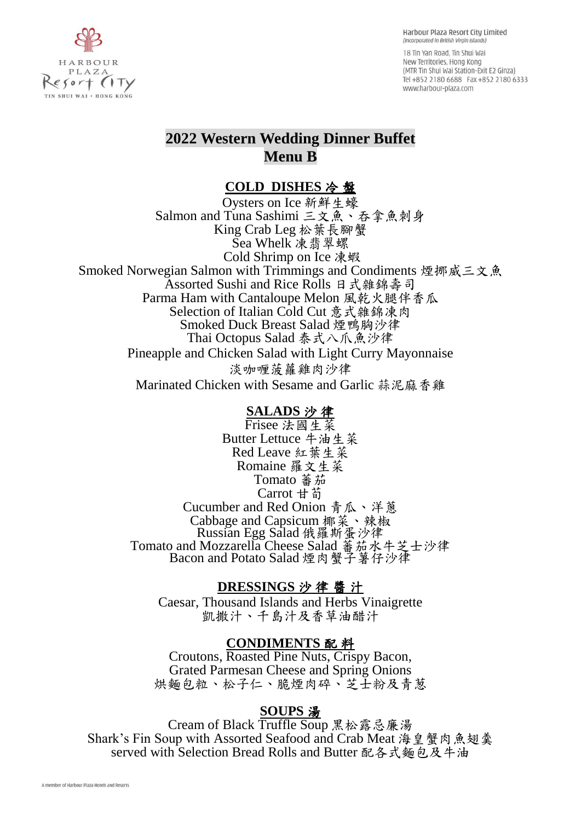HARBOUR PLAZA  $esort$  (ITy IN SHUI WAI . HONG KONG

Harbour Plaza Resort City Limited (Incorporated in British Virgin Islands)

18 Tin Yan Road. Tin Shui Wai New Territories, Hong Kong (MTR Tin Shui Wai Station-Exit E2 Ginza) Tel +852 2180 6688 Fax +852 2180 6333 www.harbour-plaza.com

# **2022 Western Wedding Dinner Buffet Menu B**

### **COLD DISHES** 冷 盤

Oysters on Ice 新鮮生蠔 Salmon and Tuna Sashimi 三文魚、吞拿魚刺身 King Crab Leg 松葉長腳蟹 Sea Whelk 凍翡翠螺 Cold Shrimp on Ice 凍蝦 Smoked Norwegian Salmon with Trimmings and Condiments 煙挪威三文魚 Assorted Sushi and Rice Rolls 日式雜錦壽司 Parma Ham with Cantaloupe Melon 風乾火腿伴香瓜 Selection of Italian Cold Cut 意式雜錦凍肉 Smoked Duck Breast Salad 煙鴨胸沙律 Thai Octopus Salad 泰式八爪魚沙律 Pineapple and Chicken Salad with Light Curry Mayonnaise 淡咖喱菠蘿雞肉沙律 Marinated Chicken with Sesame and Garlic 蒜泥麻香雞

### **SALADS** 沙 律

Frisee 法國生菜 Butter Lettuce 牛油生菜 Red Leave 紅葉生菜 Romaine 羅文生菜 Tomato 蕃茄 Carrot 甘荀 Cucumber and Red Onion 青瓜、洋蔥 Cabbage and Capsicum 椰菜、辣椒 Russian Egg Salad 俄羅斯蛋沙律 Tomato and Mozzarella Cheese Salad 蕃茄水牛芝士沙律 Bacon and Potato Salad 煙肉蟹子薯仔沙律

### **DRESSINGS** 沙 律 醬 汁

Caesar, Thousand Islands and Herbs Vinaigrette 凱撒汁、千島汁及香草油醋汁

### **CONDIMENTS** 配 料

Croutons, Roasted Pine Nuts, Crispy Bacon, Grated Parmesan Cheese and Spring Onions 烘麵包粒、松子仁、脆煙肉碎、芝士粉及青葱

### **SOUPS** 湯

Cream of Black Truffle Soup 黑松露忌廉湯 Shark's Fin Soup with Assorted Seafood and Crab Meat 海皇蟹肉魚翅羹 served with Selection Bread Rolls and Butter 配各式麵包及牛油